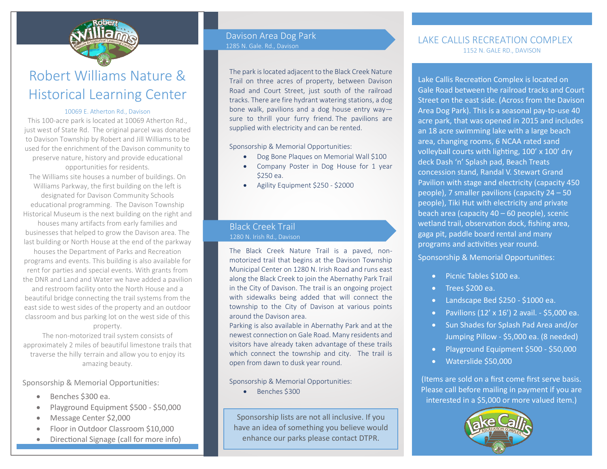

## Robert Williams Nature & Historical Learning Center

#### 10069 E. Atherton Rd., Davison

This 100-acre park is located at 10069 Atherton Rd., just west of State Rd. The original parcel was donated to Davison Township by Robert and Jill Williams to be used for the enrichment of the Davison community to preserve nature, history and provide educational opportunities for residents. The Williams site houses a number of buildings. On

Williams Parkway, the first building on the left is designated for Davison Community Schools educational programming. The Davison Township Historical Museum is the next building on the right and houses many artifacts from early families and businesses that helped to grow the Davison area. The

last building or North House at the end of the parkway houses the Department of Parks and Recreation programs and events. This building is also available for rent for parties and special events. With grants from the DNR and Land and Water we have added a pavilion

and restroom facility onto the North House and a beautiful bridge connecting the trail systems from the east side to west sides of the property and an outdoor classroom and bus parking lot on the west side of this property.

The non-motorized trail system consists of approximately 2 miles of beautiful limestone trails that traverse the hilly terrain and allow you to enjoy its amazing beauty.

### Sponsorship & Memorial Opportunities:

- Benches \$300 ea.
- Playground Equipment \$500 \$50,000
- Message Center \$2,000

Playground - \$50,000

- Floor in Outdoor Classroom \$10,000
- Directional Signage (call for more info)

#### Davison Area Dog Park 1285 N. Gale. Rd., Davison

The park is located adjacent to the Black Creek Nature Trail on three acres of property, between Davison Road and Court Street, just south of the railroad tracks. There are fire hydrant watering stations, a dog bone walk, pavilions and a dog house entry way sure to thrill your furry friend. The pavilions are supplied with electricity and can be rented.

Sponsorship & Memorial Opportunities:

- Dog Bone Plaques on Memorial Wall \$100
- Company Poster in Dog House for 1 year \$250 ea.
- Agility Equipment \$250 \$2000

### Black Creek Trail 1280 N. Irish Rd., Davison

The Black Creek Nature Trail is a paved, nonmotorized trail that begins at the Davison Township Municipal Center on 1280 N. Irish Road and runs east along the Black Creek to join the Abernathy Park Trail in the City of Davison. The trail is an ongoing project with sidewalks being added that will connect the township to the City of Davison at various points around the Davison area.

Parking is also available in Abernathy Park and at the newest connection on Gale Road. Many residents and visitors have already taken advantage of these trails which connect the township and city. The trail is open from dawn to dusk year round.

Sponsorship & Memorial Opportunities:

• Benches \$300

Sponsorship lists are not all inclusive. If you have an idea of something you believe would enhance our parks please contact DTPR.

### LAKE CALLIS RECREATION COMPLEX 1152 N. GALE RD., DAVISON

Lake Callis Recreation Complex is located on Gale Road between the railroad tracks and Court Street on the east side. (Across from the Davison Area Dog Park). This is a seasonal pay-to-use 40 acre park, that was opened in 2015 and includes an 18 acre swimming lake with a large beach area, changing rooms, 6 NCAA rated sand volleyball courts with lighting, 100' x 100' dry deck Dash 'n' Splash pad, Beach Treats concession stand, Randal V. Stewart Grand Pavilion with stage and electricity (capacity 450 people), 7 smaller pavilions (capacity 24 – 50 people), Tiki Hut with electricity and private beach area (capacity 40 – 60 people), scenic wetland trail, observation dock, fishing area, gaga pit, paddle board rental and many programs and activities year round.

Sponsorship & Memorial Opportunities:

- Picnic Tables \$100 ea.
- Trees \$200 ea.
- Landscape Bed \$250 \$1000 ea.
- Pavilions  $(12' \times 16')$  2 avail. \$5,000 ea.
- Sun Shades for Splash Pad Area and/or Jumping Pillow - \$5,000 ea. (8 needed)
- Playground Equipment \$500 \$50,000
- Waterslide \$50,000

(Items are sold on a first come first serve basis. Please call before mailing in payment if you are interested in a \$5,000 or more valued item.)